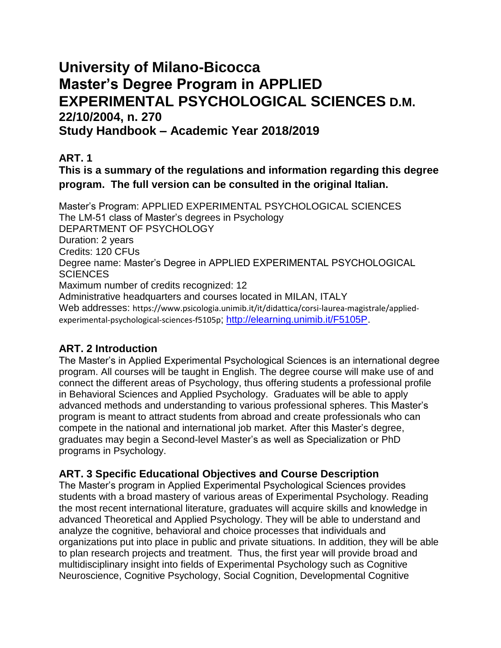# **University of Milano-Bicocca Master's Degree Program in APPLIED EXPERIMENTAL PSYCHOLOGICAL SCIENCES D.M. 22/10/2004, n. 270 Study Handbook – Academic Year 2018/2019**

# **ART. 1**

# **This is a summary of the regulations and information regarding this degree program. The full version can be consulted in the original Italian.**

Master's Program: APPLIED EXPERIMENTAL PSYCHOLOGICAL SCIENCES The LM-51 class of Master's degrees in Psychology DEPARTMENT OF PSYCHOLOGY Duration: 2 years Credits: 120 CFUs Degree name: Master's Degree in APPLIED EXPERIMENTAL PSYCHOLOGICAL **SCIENCES** Maximum number of credits recognized: 12 Administrative headquarters and courses located in MILAN, ITALY Web addresses: https://www.psicologia.unimib.it/it/didattica/corsi-laurea-magistrale/appliedexperimental-psychological-sciences-f5105p; [http://elearning.unimib.it/F5105P.](http://elearning.unimib.it/F5105P)

# **ART. 2 Introduction**

The Master's in Applied Experimental Psychological Sciences is an international degree program. All courses will be taught in English. The degree course will make use of and connect the different areas of Psychology, thus offering students a professional profile in Behavioral Sciences and Applied Psychology. Graduates will be able to apply advanced methods and understanding to various professional spheres. This Master's program is meant to attract students from abroad and create professionals who can compete in the national and international job market. After this Master's degree, graduates may begin a Second-level Master's as well as Specialization or PhD programs in Psychology.

## **ART. 3 Specific Educational Objectives and Course Description**

The Master's program in Applied Experimental Psychological Sciences provides students with a broad mastery of various areas of Experimental Psychology. Reading the most recent international literature, graduates will acquire skills and knowledge in advanced Theoretical and Applied Psychology. They will be able to understand and analyze the cognitive, behavioral and choice processes that individuals and organizations put into place in public and private situations. In addition, they will be able to plan research projects and treatment. Thus, the first year will provide broad and multidisciplinary insight into fields of Experimental Psychology such as Cognitive Neuroscience, Cognitive Psychology, Social Cognition, Developmental Cognitive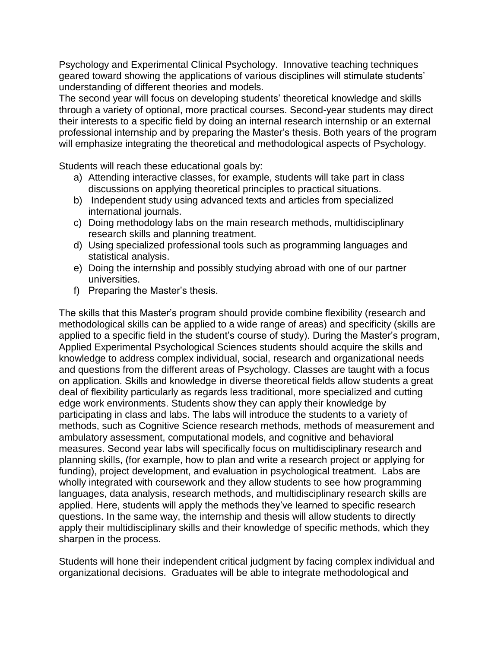Psychology and Experimental Clinical Psychology. Innovative teaching techniques geared toward showing the applications of various disciplines will stimulate students' understanding of different theories and models.

The second year will focus on developing students' theoretical knowledge and skills through a variety of optional, more practical courses. Second-year students may direct their interests to a specific field by doing an internal research internship or an external professional internship and by preparing the Master's thesis. Both years of the program will emphasize integrating the theoretical and methodological aspects of Psychology.

Students will reach these educational goals by:

- a) Attending interactive classes, for example, students will take part in class discussions on applying theoretical principles to practical situations.
- b) Independent study using advanced texts and articles from specialized international journals.
- c) Doing methodology labs on the main research methods, multidisciplinary research skills and planning treatment.
- d) Using specialized professional tools such as programming languages and statistical analysis.
- e) Doing the internship and possibly studying abroad with one of our partner universities.
- f) Preparing the Master's thesis.

The skills that this Master's program should provide combine flexibility (research and methodological skills can be applied to a wide range of areas) and specificity (skills are applied to a specific field in the student's course of study). During the Master's program, Applied Experimental Psychological Sciences students should acquire the skills and knowledge to address complex individual, social, research and organizational needs and questions from the different areas of Psychology. Classes are taught with a focus on application. Skills and knowledge in diverse theoretical fields allow students a great deal of flexibility particularly as regards less traditional, more specialized and cutting edge work environments. Students show they can apply their knowledge by participating in class and labs. The labs will introduce the students to a variety of methods, such as Cognitive Science research methods, methods of measurement and ambulatory assessment, computational models, and cognitive and behavioral measures. Second year labs will specifically focus on multidisciplinary research and planning skills, (for example, how to plan and write a research project or applying for funding), project development, and evaluation in psychological treatment. Labs are wholly integrated with coursework and they allow students to see how programming languages, data analysis, research methods, and multidisciplinary research skills are applied. Here, students will apply the methods they've learned to specific research questions. In the same way, the internship and thesis will allow students to directly apply their multidisciplinary skills and their knowledge of specific methods, which they sharpen in the process.

Students will hone their independent critical judgment by facing complex individual and organizational decisions. Graduates will be able to integrate methodological and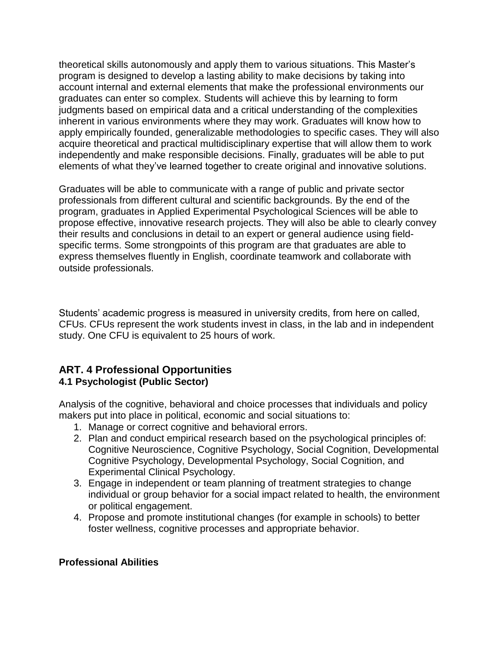theoretical skills autonomously and apply them to various situations. This Master's program is designed to develop a lasting ability to make decisions by taking into account internal and external elements that make the professional environments our graduates can enter so complex. Students will achieve this by learning to form judgments based on empirical data and a critical understanding of the complexities inherent in various environments where they may work. Graduates will know how to apply empirically founded, generalizable methodologies to specific cases. They will also acquire theoretical and practical multidisciplinary expertise that will allow them to work independently and make responsible decisions. Finally, graduates will be able to put elements of what they've learned together to create original and innovative solutions.

Graduates will be able to communicate with a range of public and private sector professionals from different cultural and scientific backgrounds. By the end of the program, graduates in Applied Experimental Psychological Sciences will be able to propose effective, innovative research projects. They will also be able to clearly convey their results and conclusions in detail to an expert or general audience using fieldspecific terms. Some strongpoints of this program are that graduates are able to express themselves fluently in English, coordinate teamwork and collaborate with outside professionals.

Students' academic progress is measured in university credits, from here on called, CFUs. CFUs represent the work students invest in class, in the lab and in independent study. One CFU is equivalent to 25 hours of work.

#### **ART. 4 Professional Opportunities 4.1 Psychologist (Public Sector)**

Analysis of the cognitive, behavioral and choice processes that individuals and policy makers put into place in political, economic and social situations to:

- 1. Manage or correct cognitive and behavioral errors.
- 2. Plan and conduct empirical research based on the psychological principles of: Cognitive Neuroscience, Cognitive Psychology, Social Cognition, Developmental Cognitive Psychology, Developmental Psychology, Social Cognition, and Experimental Clinical Psychology.
- 3. Engage in independent or team planning of treatment strategies to change individual or group behavior for a social impact related to health, the environment or political engagement.
- 4. Propose and promote institutional changes (for example in schools) to better foster wellness, cognitive processes and appropriate behavior.

#### **Professional Abilities**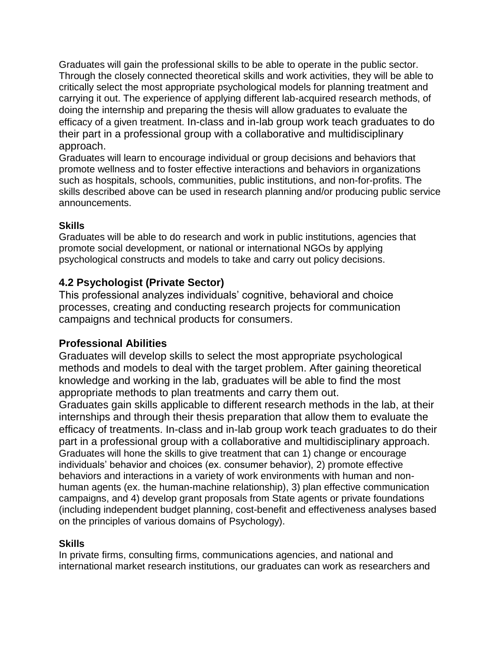Graduates will gain the professional skills to be able to operate in the public sector. Through the closely connected theoretical skills and work activities, they will be able to critically select the most appropriate psychological models for planning treatment and carrying it out. The experience of applying different lab-acquired research methods, of doing the internship and preparing the thesis will allow graduates to evaluate the efficacy of a given treatment. In-class and in-lab group work teach graduates to do their part in a professional group with a collaborative and multidisciplinary approach.

Graduates will learn to encourage individual or group decisions and behaviors that promote wellness and to foster effective interactions and behaviors in organizations such as hospitals, schools, communities, public institutions, and non-for-profits. The skills described above can be used in research planning and/or producing public service announcements.

#### **Skills**

Graduates will be able to do research and work in public institutions, agencies that promote social development, or national or international NGOs by applying psychological constructs and models to take and carry out policy decisions.

## **4.2 Psychologist (Private Sector)**

This professional analyzes individuals' cognitive, behavioral and choice processes, creating and conducting research projects for communication campaigns and technical products for consumers.

#### **Professional Abilities**

Graduates will develop skills to select the most appropriate psychological methods and models to deal with the target problem. After gaining theoretical knowledge and working in the lab, graduates will be able to find the most appropriate methods to plan treatments and carry them out.

Graduates gain skills applicable to different research methods in the lab, at their internships and through their thesis preparation that allow them to evaluate the efficacy of treatments. In-class and in-lab group work teach graduates to do their part in a professional group with a collaborative and multidisciplinary approach. Graduates will hone the skills to give treatment that can 1) change or encourage individuals' behavior and choices (ex. consumer behavior), 2) promote effective behaviors and interactions in a variety of work environments with human and nonhuman agents (ex. the human-machine relationship), 3) plan effective communication campaigns, and 4) develop grant proposals from State agents or private foundations (including independent budget planning, cost-benefit and effectiveness analyses based on the principles of various domains of Psychology).

#### **Skills**

In private firms, consulting firms, communications agencies, and national and international market research institutions, our graduates can work as researchers and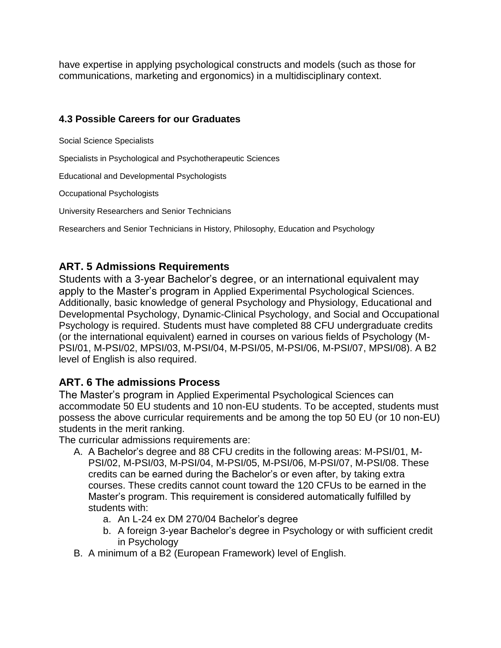have expertise in applying psychological constructs and models (such as those for communications, marketing and ergonomics) in a multidisciplinary context.

#### **4.3 Possible Careers for our Graduates**

Social Science Specialists

Specialists in Psychological and Psychotherapeutic Sciences

Educational and Developmental Psychologists

Occupational Psychologists

University Researchers and Senior Technicians

Researchers and Senior Technicians in History, Philosophy, Education and Psychology

### **ART. 5 Admissions Requirements**

Students with a 3-year Bachelor's degree, or an international equivalent may apply to the Master's program in Applied Experimental Psychological Sciences. Additionally, basic knowledge of general Psychology and Physiology, Educational and Developmental Psychology, Dynamic-Clinical Psychology, and Social and Occupational Psychology is required. Students must have completed 88 CFU undergraduate credits (or the international equivalent) earned in courses on various fields of Psychology (M-PSI/01, M-PSI/02, MPSI/03, M-PSI/04, M-PSI/05, M-PSI/06, M-PSI/07, MPSI/08). A B2 level of English is also required.

#### **ART. 6 The admissions Process**

The Master's program in Applied Experimental Psychological Sciences can accommodate 50 EU students and 10 non-EU students. To be accepted, students must possess the above curricular requirements and be among the top 50 EU (or 10 non-EU) students in the merit ranking.

The curricular admissions requirements are:

- A. A Bachelor's degree and 88 CFU credits in the following areas: M-PSI/01, M-PSI/02, M-PSI/03, M-PSI/04, M-PSI/05, M-PSI/06, M-PSI/07, M-PSI/08. These credits can be earned during the Bachelor's or even after, by taking extra courses. These credits cannot count toward the 120 CFUs to be earned in the Master's program. This requirement is considered automatically fulfilled by students with:
	- a. An L-24 ex DM 270/04 Bachelor's degree
	- b. A foreign 3-year Bachelor's degree in Psychology or with sufficient credit in Psychology
- B. A minimum of a B2 (European Framework) level of English.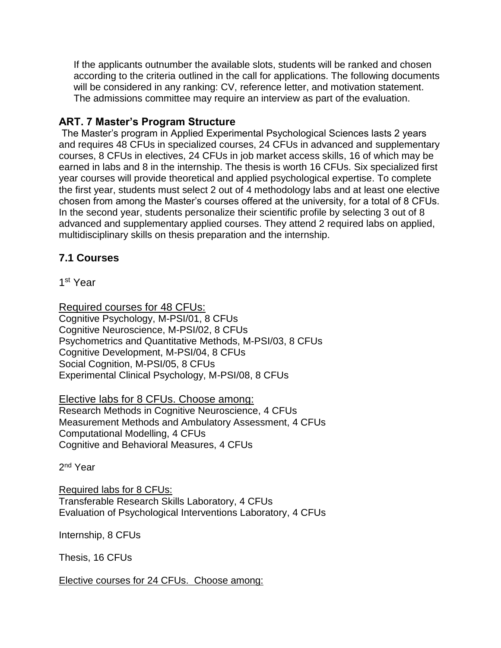If the applicants outnumber the available slots, students will be ranked and chosen according to the criteria outlined in the call for applications. The following documents will be considered in any ranking: CV, reference letter, and motivation statement. The admissions committee may require an interview as part of the evaluation.

### **ART. 7 Master's Program Structure**

The Master's program in Applied Experimental Psychological Sciences lasts 2 years and requires 48 CFUs in specialized courses, 24 CFUs in advanced and supplementary courses, 8 CFUs in electives, 24 CFUs in job market access skills, 16 of which may be earned in labs and 8 in the internship. The thesis is worth 16 CFUs. Six specialized first year courses will provide theoretical and applied psychological expertise. To complete the first year, students must select 2 out of 4 methodology labs and at least one elective chosen from among the Master's courses offered at the university, for a total of 8 CFUs. In the second year, students personalize their scientific profile by selecting 3 out of 8 advanced and supplementary applied courses. They attend 2 required labs on applied, multidisciplinary skills on thesis preparation and the internship.

## **7.1 Courses**

1 st Year

Required courses for 48 CFUs: Cognitive Psychology, M-PSI/01, 8 CFUs Cognitive Neuroscience, M-PSI/02, 8 CFUs Psychometrics and Quantitative Methods, M-PSI/03, 8 CFUs Cognitive Development, M-PSI/04, 8 CFUs Social Cognition, M-PSI/05, 8 CFUs Experimental Clinical Psychology, M-PSI/08, 8 CFUs

Elective labs for 8 CFUs. Choose among: Research Methods in Cognitive Neuroscience, 4 CFUs Measurement Methods and Ambulatory Assessment, 4 CFUs Computational Modelling, 4 CFUs Cognitive and Behavioral Measures, 4 CFUs

2<sup>nd</sup> Year

Required labs for 8 CFUs: Transferable Research Skills Laboratory, 4 CFUs Evaluation of Psychological Interventions Laboratory, 4 CFUs

Internship, 8 CFUs

Thesis, 16 CFUs

Elective courses for 24 CFUs. Choose among: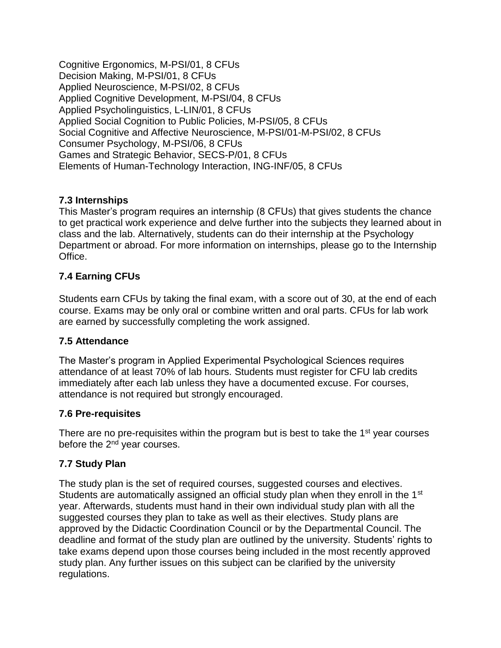Cognitive Ergonomics, M-PSI/01, 8 CFUs Decision Making, M-PSI/01, 8 CFUs Applied Neuroscience, M-PSI/02, 8 CFUs Applied Cognitive Development, M-PSI/04, 8 CFUs Applied Psycholinguistics, L-LIN/01, 8 CFUs Applied Social Cognition to Public Policies, M-PSI/05, 8 CFUs Social Cognitive and Affective Neuroscience, M-PSI/01-M-PSI/02, 8 CFUs Consumer Psychology, M-PSI/06, 8 CFUs Games and Strategic Behavior, SECS-P/01, 8 CFUs Elements of Human-Technology Interaction, ING-INF/05, 8 CFUs

#### **7.3 Internships**

This Master's program requires an internship (8 CFUs) that gives students the chance to get practical work experience and delve further into the subjects they learned about in class and the lab. Alternatively, students can do their internship at the Psychology Department or abroad. For more information on internships, please go to the Internship Office.

#### **7.4 Earning CFUs**

Students earn CFUs by taking the final exam, with a score out of 30, at the end of each course. Exams may be only oral or combine written and oral parts. CFUs for lab work are earned by successfully completing the work assigned.

#### **7.5 Attendance**

The Master's program in Applied Experimental Psychological Sciences requires attendance of at least 70% of lab hours. Students must register for CFU lab credits immediately after each lab unless they have a documented excuse. For courses, attendance is not required but strongly encouraged.

#### **7.6 Pre-requisites**

There are no pre-requisites within the program but is best to take the 1<sup>st</sup> year courses before the 2nd year courses.

#### **7.7 Study Plan**

The study plan is the set of required courses, suggested courses and electives. Students are automatically assigned an official study plan when they enroll in the 1<sup>st</sup> year. Afterwards, students must hand in their own individual study plan with all the suggested courses they plan to take as well as their electives. Study plans are approved by the Didactic Coordination Council or by the Departmental Council. The deadline and format of the study plan are outlined by the university. Students' rights to take exams depend upon those courses being included in the most recently approved study plan. Any further issues on this subject can be clarified by the university regulations.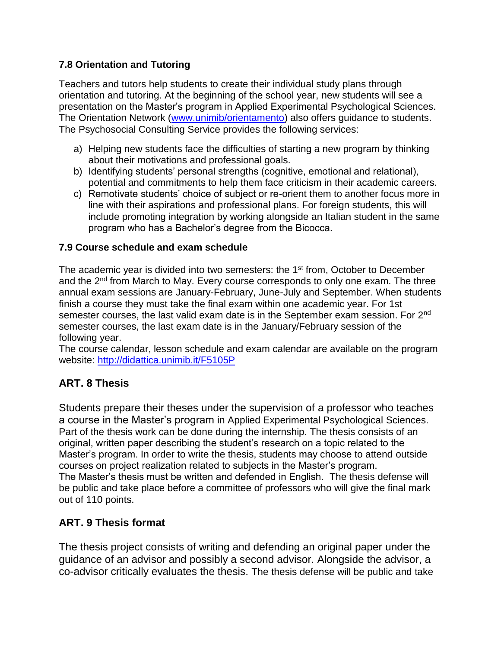### **7.8 Orientation and Tutoring**

Teachers and tutors help students to create their individual study plans through orientation and tutoring. At the beginning of the school year, new students will see a presentation on the Master's program in Applied Experimental Psychological Sciences. The Orientation Network [\(www.unimib/orientamento\)](http://www.unimib/orientamento) also offers guidance to students. The Psychosocial Consulting Service provides the following services:

- a) Helping new students face the difficulties of starting a new program by thinking about their motivations and professional goals.
- b) Identifying students' personal strengths (cognitive, emotional and relational), potential and commitments to help them face criticism in their academic careers.
- c) Remotivate students' choice of subject or re-orient them to another focus more in line with their aspirations and professional plans. For foreign students, this will include promoting integration by working alongside an Italian student in the same program who has a Bachelor's degree from the Bicocca.

#### **7.9 Course schedule and exam schedule**

The academic year is divided into two semesters: the 1<sup>st</sup> from, October to December and the 2<sup>nd</sup> from March to May. Every course corresponds to only one exam. The three annual exam sessions are January-February, June-July and September. When students finish a course they must take the final exam within one academic year. For 1st semester courses, the last valid exam date is in the September exam session. For 2<sup>nd</sup> semester courses, the last exam date is in the January/February session of the following year.

The course calendar, lesson schedule and exam calendar are available on the program website:<http://didattica.unimib.it/F5105P>

## **ART. 8 Thesis**

Students prepare their theses under the supervision of a professor who teaches a course in the Master's program in Applied Experimental Psychological Sciences. Part of the thesis work can be done during the internship. The thesis consists of an original, written paper describing the student's research on a topic related to the Master's program. In order to write the thesis, students may choose to attend outside courses on project realization related to subjects in the Master's program. The Master's thesis must be written and defended in English. The thesis defense will be public and take place before a committee of professors who will give the final mark out of 110 points.

## **ART. 9 Thesis format**

The thesis project consists of writing and defending an original paper under the guidance of an advisor and possibly a second advisor. Alongside the advisor, a co-advisor critically evaluates the thesis. The thesis defense will be public and take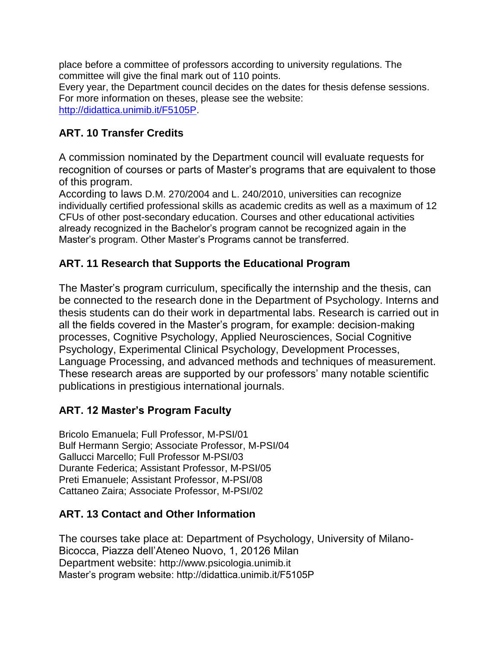place before a committee of professors according to university regulations. The committee will give the final mark out of 110 points.

Every year, the Department council decides on the dates for thesis defense sessions. For more information on theses, please see the website: [http://didattica.unimib.it/F5105P.](http://didattica.unimib.it/F5105P)

# **ART. 10 Transfer Credits**

A commission nominated by the Department council will evaluate requests for recognition of courses or parts of Master's programs that are equivalent to those of this program.

According to laws D.M. 270/2004 and L. 240/2010, universities can recognize individually certified professional skills as academic credits as well as a maximum of 12 CFUs of other post-secondary education. Courses and other educational activities already recognized in the Bachelor's program cannot be recognized again in the Master's program. Other Master's Programs cannot be transferred.

# **ART. 11 Research that Supports the Educational Program**

The Master's program curriculum, specifically the internship and the thesis, can be connected to the research done in the Department of Psychology. Interns and thesis students can do their work in departmental labs. Research is carried out in all the fields covered in the Master's program, for example: decision-making processes, Cognitive Psychology, Applied Neurosciences, Social Cognitive Psychology, Experimental Clinical Psychology, Development Processes, Language Processing, and advanced methods and techniques of measurement. These research areas are supported by our professors' many notable scientific publications in prestigious international journals.

# **ART. 12 Master's Program Faculty**

Bricolo Emanuela; Full Professor, M-PSI/01 Bulf Hermann Sergio; Associate Professor, M-PSI/04 Gallucci Marcello; Full Professor M-PSI/03 Durante Federica; Assistant Professor, M-PSI/05 Preti Emanuele; Assistant Professor, M-PSI/08 Cattaneo Zaira; Associate Professor, M-PSI/02

# **ART. 13 Contact and Other Information**

The courses take place at: Department of Psychology, University of Milano-Bicocca, Piazza dell'Ateneo Nuovo, 1, 20126 Milan Department website: http://www.psicologia.unimib.it Master's program website: http://didattica.unimib.it/F5105P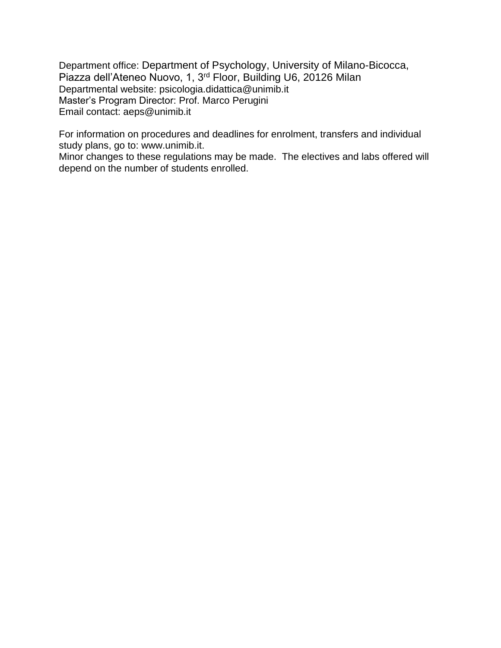Department office: Department of Psychology, University of Milano-Bicocca, Piazza dell'Ateneo Nuovo, 1, 3rd Floor, Building U6, 20126 Milan Departmental website: psicologia.didattica@unimib.it Master's Program Director: Prof. Marco Perugini Email contact: aeps@unimib.it

For information on procedures and deadlines for enrolment, transfers and individual study plans, go to: www.unimib.it.

Minor changes to these regulations may be made. The electives and labs offered will depend on the number of students enrolled.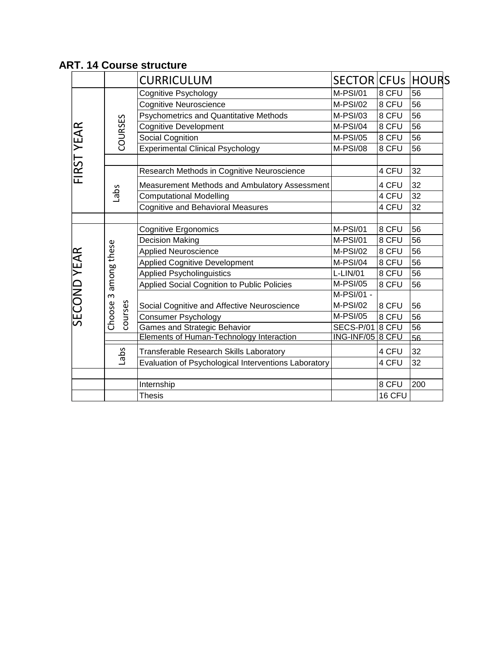|                    |                                              | <b>CURRICULUM</b>                                    | SECTOR CFUS             |        | <b>HOURS</b> |
|--------------------|----------------------------------------------|------------------------------------------------------|-------------------------|--------|--------------|
| FIRST YEAR         |                                              | Cognitive Psychology                                 | <b>M-PSI/01</b>         | 8 CFU  | 56           |
|                    | COURSES                                      | Cognitive Neuroscience                               | <b>M-PSI/02</b>         | 8 CFU  | 56           |
|                    |                                              | <b>Psychometrics and Quantitative Methods</b>        | M-PSI/03                | 8 CFU  | 56           |
|                    |                                              | <b>Cognitive Development</b>                         | M-PSI/04                | 8 CFU  | 56           |
|                    |                                              | Social Cognition                                     | M-PSI/05                | 8 CFU  | 56           |
|                    |                                              | <b>Experimental Clinical Psychology</b>              | <b>M-PSI/08</b>         | 8 CFU  | 56           |
|                    |                                              |                                                      |                         |        |              |
|                    | Labs                                         | Research Methods in Cognitive Neuroscience           |                         | 4 CFU  | 32           |
|                    |                                              | Measurement Methods and Ambulatory Assessment        |                         | 4 CFU  | 32           |
|                    |                                              | <b>Computational Modelling</b>                       |                         | 4 CFU  | 32           |
|                    |                                              | <b>Cognitive and Behavioral Measures</b>             |                         | 4 CFU  | 32           |
|                    |                                              |                                                      |                         |        |              |
| <b>SECOND YEAR</b> |                                              | <b>Cognitive Ergonomics</b>                          | M-PSI/01                | 8 CFU  | 56           |
|                    | among these<br>$\omega$<br>courses<br>Choose | <b>Decision Making</b>                               | M-PSI/01                | 8 CFU  | 56           |
|                    |                                              | <b>Applied Neuroscience</b>                          | <b>M-PSI/02</b>         | 8 CFU  | 56           |
|                    |                                              | <b>Applied Cognitive Development</b>                 | M-PSI/04                | 8 CFU  | 56           |
|                    |                                              | <b>Applied Psycholinguistics</b>                     | L-LIN/01                | 8 CFU  | 56           |
|                    |                                              | Applied Social Cognition to Public Policies          | <b>M-PSI/05</b>         | 8 CFU  | 56           |
|                    |                                              |                                                      | M-PSI/01 -              |        |              |
|                    |                                              | Social Cognitive and Affective Neuroscience          | <b>M-PSI/02</b>         | 8 CFU  | 56           |
|                    |                                              | <b>Consumer Psychology</b>                           | <b>M-PSI/05</b>         | 8 CFU  | 56           |
|                    |                                              | <b>Games and Strategic Behavior</b>                  | SECS-P/01               | 8 CFU  | 56           |
|                    |                                              | Elements of Human-Technology Interaction             | <b>ING-INF/05 8 CFU</b> |        | 56           |
|                    | Labs                                         | Transferable Research Skills Laboratory              |                         | 4 CFU  | 32           |
|                    |                                              | Evaluation of Psychological Interventions Laboratory |                         | 4 CFU  | 32           |
|                    |                                              |                                                      |                         |        |              |
|                    |                                              | Internship                                           |                         | 8 CFU  | 200          |
|                    |                                              | <b>Thesis</b>                                        |                         | 16 CFU |              |

## **ART. 14 Course structure**